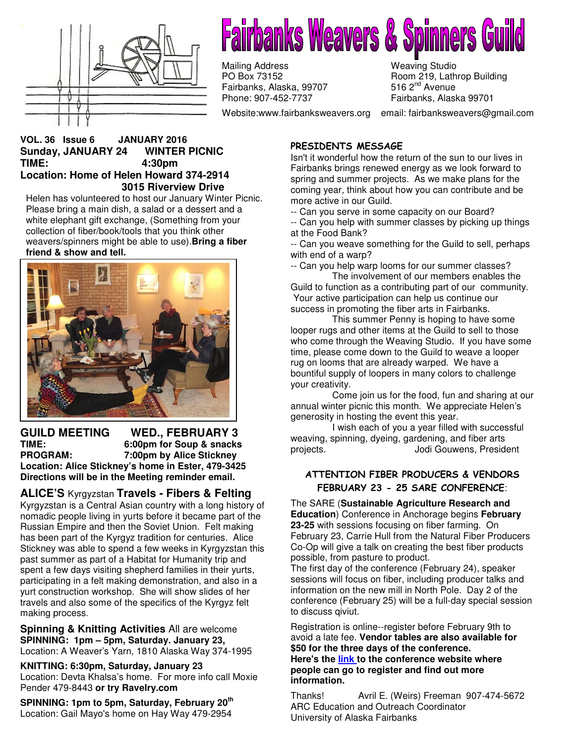

# **Fairbanks Weavers & Spinners**

Mailing Address Meaving Studio<br>
PO Box 73152 Meaving Studio Room 219, Lath Fairbanks, Alaska, 99707<br>Phone: 907-452-7737

Room 219, Lathrop Building<br>516 2<sup>nd</sup> Avenue Fairbanks, Alaska 99701

Website:www.fairbanksweavers.org email: fairbanksweavers@gmail.com

#### **VOL. 36 Issue 6 JANUARY 2016 Sunday, JANUARY 24 WINTER PICNIC TIME: 4:30pm Location: Home of Helen Howard 374-2914 3015 Riverview Drive**

Helen has volunteered to host our January Winter Picnic. Please bring a main dish, a salad or a dessert and a white elephant gift exchange, (Something from your collection of fiber/book/tools that you think other weavers/spinners might be able to use).**Bring a fiber friend & show and tell.** 



#### **GUILD MEETING WED., FEBRUARY 3 TIME: 6:00pm for Soup & snacks 7:00pm by Alice Stickney Location: Alice Stickney's home in Ester, 479-3425 Directions will be in the Meeting reminder email.**

# **ALICE'S** Kyrgyzstan **Travels - Fibers & Felting**

Kyrgyzstan is a Central Asian country with a long history of nomadic people living in yurts before it became part of the Russian Empire and then the Soviet Union. Felt making has been part of the Kyrgyz tradition for centuries. Alice Stickney was able to spend a few weeks in Kyrgyzstan this past summer as part of a Habitat for Humanity trip and spent a few days visiting shepherd families in their yurts, participating in a felt making demonstration, and also in a yurt construction workshop. She will show slides of her travels and also some of the specifics of the Kyrgyz felt making process.

**Spinning & Knitting Activities** All are welcome **SPINNING: 1pm – 5pm, Saturday. January 23,**  Location: A Weaver's Yarn, 1810 Alaska Way 374-1995

**KNITTING: 6:30pm, Saturday, January 23**  Location: Devta Khalsa's home. For more info call Moxie Pender 479-8443 **or try Ravelry.com**

**SPINNING: 1pm to 5pm, Saturday, February 20th**  Location: Gail Mayo's home on Hay Way 479-2954

### PRESIDENTS MESSAGE

Isn't it wonderful how the return of the sun to our lives in Fairbanks brings renewed energy as we look forward to spring and summer projects. As we make plans for the coming year, think about how you can contribute and be more active in our Guild.

-- Can you serve in some capacity on our Board?

-- Can you help with summer classes by picking up things at the Food Bank?

-- Can you weave something for the Guild to sell, perhaps with end of a warp?

-- Can you help warp looms for our summer classes? The involvement of our members enables the

Guild to function as a contributing part of our community. Your active participation can help us continue our success in promoting the fiber arts in Fairbanks.

 This summer Penny is hoping to have some looper rugs and other items at the Guild to sell to those who come through the Weaving Studio. If you have some time, please come down to the Guild to weave a looper rug on looms that are already warped. We have a bountiful supply of loopers in many colors to challenge your creativity.

 Come join us for the food, fun and sharing at our annual winter picnic this month. We appreciate Helen's generosity in hosting the event this year.

 I wish each of you a year filled with successful weaving, spinning, dyeing, gardening, and fiber arts projects. Jodi Gouwens, President

### ATTENTION FIBER PRODUCERS & VENDORS FEBRUARY 23 - 25 SARE CONFERENCE:

The SARE (**Sustainable Agriculture Research and Education**) Conference in Anchorage begins **February 23-25** with sessions focusing on fiber farming. On February 23, Carrie Hull from the Natural Fiber Producers Co-Op will give a talk on creating the best fiber products possible, from pasture to product.

The first day of the conference (February 24), speaker sessions will focus on fiber, including producer talks and information on the new mill in North Pole. Day 2 of the conference (February 25) will be a full-day special session to discuss qiviut.

Registration is online--register before February 9th to avoid a late fee. **Vendor tables are also available for \$50 for the three days of the conference. Here's the link to the conference website where people can go to register and find out more information.** 

Thanks! Avril E. (Weirs) Freeman 907-474-5672 ARC Education and Outreach Coordinator University of Alaska Fairbanks